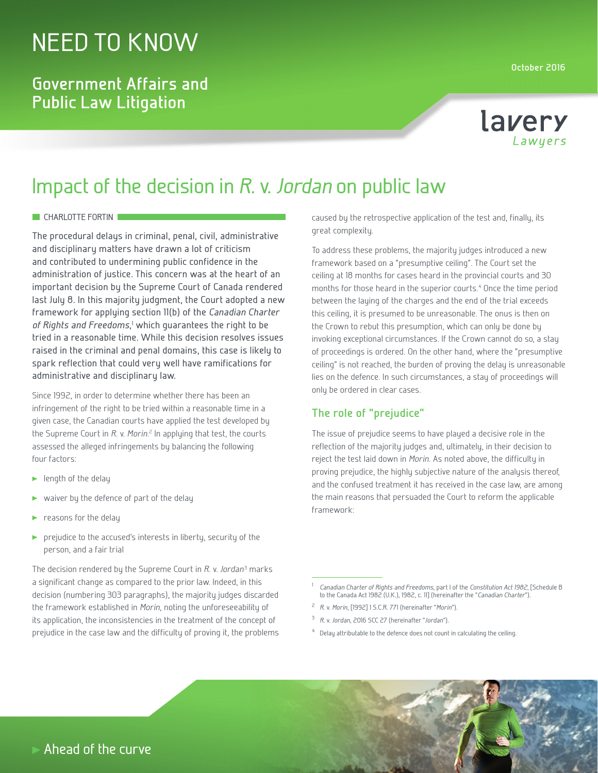# NEED TO KNOW

### **Government Affairs and Public Law Litigation**



# Impact of the decision in *R.* v. *Jordan* on public law

#### **CHARLOTTE FORTIN**

The procedural delays in criminal, penal, civil, administrative and disciplinary matters have drawn a lot of criticism and contributed to undermining public confidence in the administration of justice. This concern was at the heart of an important decision by the Supreme Court of Canada rendered last July 8. In this majority judgment, the Court adopted a new framework for applying section 11(b) of the *Canadian Charter*  of Rights and Freedoms,<sup>1</sup> which guarantees the right to be tried in a reasonable time. While this decision resolves issues raised in the criminal and penal domains, this case is likely to spark reflection that could very well have ramifications for administrative and disciplinary law.

Since 1992, in order to determine whether there has been an infringement of the right to be tried within a reasonable time in a given case, the Canadian courts have applied the test developed by the Supreme Court in *R*. v. *Morin*.<sup>2</sup> In applying that test, the courts assessed the alleged infringements by balancing the following four factors:

- **P** length of the delay
- waiver by the defence of part of the delay
- reasons for the delay
- prejudice to the accused's interests in liberty, security of the ь person, and a fair trial

The decision rendered by the Supreme Court in *R*. v. Jordan<sup>3</sup> marks a significant change as compared to the prior law. Indeed, in this decision (numbering 303 paragraphs), the majority judges discarded the framework established in *Morin*, noting the unforeseeability of its application, the inconsistencies in the treatment of the concept of prejudice in the case law and the difficulty of proving it, the problems

caused by the retrospective application of the test and, finally, its great complexity.

To address these problems, the majority judges introduced a new framework based on a "presumptive ceiling". The Court set the ceiling at 18 months for cases heard in the provincial courts and 30 months for those heard in the superior courts.4 Once the time period between the laying of the charges and the end of the trial exceeds this ceiling, it is presumed to be unreasonable. The onus is then on the Crown to rebut this presumption, which can only be done by invoking exceptional circumstances. If the Crown cannot do so, a stay of proceedings is ordered. On the other hand, where the "presumptive ceiling" is not reached, the burden of proving the delay is unreasonable lies on the defence. In such circumstances, a stay of proceedings will only be ordered in clear cases.

### **The role of "prejudice"**

The issue of prejudice seems to have played a decisive role in the reflection of the majority judges and, ultimately, in their decision to reject the test laid down in *Morin*. As noted above, the difficulty in proving prejudice, the highly subjective nature of the analysis thereof, and the confused treatment it has received in the case law, are among the main reasons that persuaded the Court to reform the applicable framework:

 $4$  Delay attributable to the defence does not count in calculating the ceiling.

<sup>1</sup> *Canadian Charter of Rights and Freedoms*, part I of the *Constitution Act 1982*, [Schedule B to the Canada Act 1982 (U.K.), 1982, c. 11] (hereinafter the "*Canadian Charter*").

<sup>2</sup> *R*. v. *Morin*, [1992] 1 S.C.R. 771 (hereinafter "*Morin*").

<sup>3</sup> *R.* v. *Jordan*, 2016 SCC 27 (hereinafter "*Jordan*").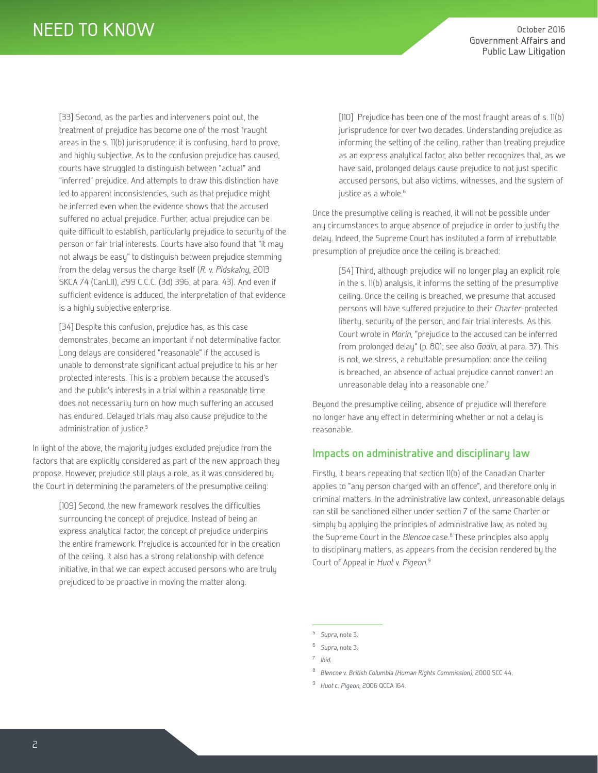[33] Second, as the parties and interveners point out, the treatment of prejudice has become one of the most fraught areas in the s. 11(b) jurisprudence: it is confusing, hard to prove, and highly subjective. As to the confusion prejudice has caused, courts have struggled to distinguish between "actual" and "inferred" prejudice. And attempts to draw this distinction have led to apparent inconsistencies, such as that prejudice might be inferred even when the evidence shows that the accused suffered no actual prejudice. Further, actual prejudice can be quite difficult to establish, particularly prejudice to security of the person or fair trial interests. Courts have also found that "it may not always be easy" to distinguish between prejudice stemming from the delay versus the charge itself (*R*. v. *Pidskalny*, 2013 SKCA 74 (CanLII), 299 C.C.C. (3d) 396, at para. 43). And even if sufficient evidence is adduced, the interpretation of that evidence is a highly subjective enterprise.

[34] Despite this confusion, prejudice has, as this case demonstrates, become an important if not determinative factor. Long delays are considered "reasonable" if the accused is unable to demonstrate significant actual prejudice to his or her protected interests. This is a problem because the accused's and the public's interests in a trial within a reasonable time does not necessarily turn on how much suffering an accused has endured. Delayed trials may also cause prejudice to the administration of justice.<sup>5</sup>

In light of the above, the majority judges excluded prejudice from the factors that are explicitly considered as part of the new approach they propose. However, prejudice still plays a role, as it was considered by the Court in determining the parameters of the presumptive ceiling:

> [109] Second, the new framework resolves the difficulties surrounding the concept of prejudice. Instead of being an express analytical factor, the concept of prejudice underpins the entire framework. Prejudice is accounted for in the creation of the ceiling. It also has a strong relationship with defence initiative, in that we can expect accused persons who are truly prejudiced to be proactive in moving the matter along.

[110] Prejudice has been one of the most fraught areas of s. 11(b) jurisprudence for over two decades. Understanding prejudice as informing the setting of the ceiling, rather than treating prejudice as an express analytical factor, also better recognizes that, as we have said, prolonged delays cause prejudice to not just specific accused persons, but also victims, witnesses, and the system of justice as a whole.<sup>6</sup>

Once the presumptive ceiling is reached, it will not be possible under any circumstances to argue absence of prejudice in order to justify the delay. Indeed, the Supreme Court has instituted a form of irrebuttable presumption of prejudice once the ceiling is breached:

[54] Third, although prejudice will no longer play an explicit role in the s. 11(b) analysis, it informs the setting of the presumptive ceiling. Once the ceiling is breached, we presume that accused persons will have suffered prejudice to their *Charter*-protected liberty, security of the person, and fair trial interests. As this Court wrote in *Morin*, "prejudice to the accused can be inferred from prolonged delay" (p. 801; see also *Godin*, at para. 37). This is not, we stress, a rebuttable presumption: once the ceiling is breached, an absence of actual prejudice cannot convert an unreasonable delay into a reasonable one.<sup>7</sup>

Beyond the presumptive ceiling, absence of prejudice will therefore no longer have any effect in determining whether or not a delay is reasonable.

### **Impacts on administrative and disciplinary law**

Firstly, it bears repeating that section 11(b) of the Canadian Charter applies to "any person charged with an offence", and therefore only in criminal matters. In the administrative law context, unreasonable delays can still be sanctioned either under section 7 of the same Charter or simply by applying the principles of administrative law, as noted by the Supreme Court in the *Blencoe* case.<sup>8</sup> These principles also apply to disciplinary matters, as appears from the decision rendered by the Court of Appeal in *Huot* v. *Pigeon*. 9

- <sup>8</sup> *Blencoe* v. *British Columbia (Human Rights Commission)*, 2000 SCC 44.
- <sup>9</sup> *Huot* c. *Pigeon*, 2006 QCCA 164.

<sup>5</sup> *Supra*, note 3.

<sup>6</sup> *Supra*, note 3.

<sup>7</sup> *Ibid*.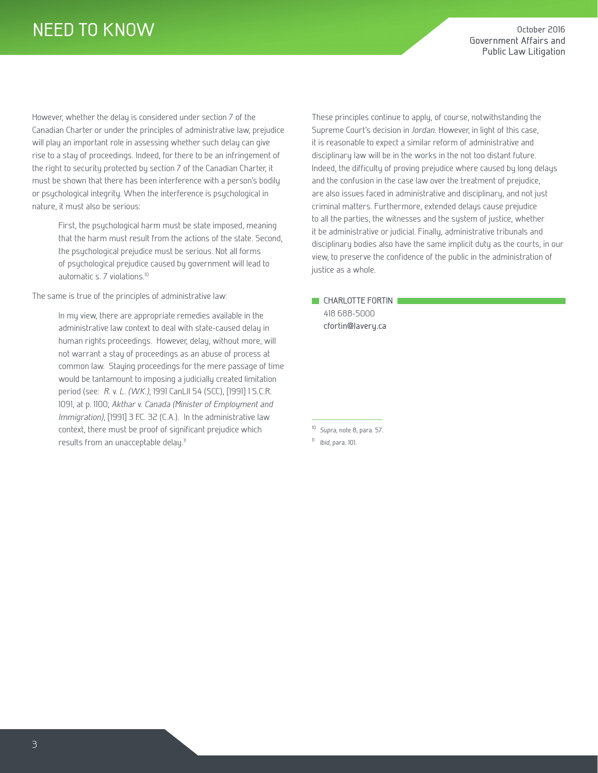## NEED TO KNOW

However, whether the delay is considered under section 7 of the Canadian Charter or under the principles of administrative law, prejudice will play an important role in assessing whether such delay can give rise to a stay of proceedings. Indeed, for there to be an infringement of the right to security protected by section 7 of the Canadian Charter, it must be shown that there has been interference with a person's bodily or psychological integrity. When the interference is psychological in nature, it must also be serious:

> First, the psychological harm must be state imposed, meaning that the harm must result from the actions of the state. Second, the psychological prejudice must be serious. Not all forms of psychological prejudice caused by government will lead to automatic s. 7 violations.<sup>10</sup>

The same is true of the principles of administrative law:

In my view, there are appropriate remedies available in the administrative law context to deal with state-caused delay in human rights proceedings. However, delay, without more, will not warrant a stay of proceedings as an abuse of process at common law. Staying proceedings for the mere passage of time would be tantamount to imposing a judicially created limitation period (see: *R.* v. *L. (W.K.)*, 1991 CanLII 54 (SCC), [1991] 1 S.C.R. 1091, at p. 1100; *Akthar* v. *Canada (Minister of Employment and Immigration)*, [1991] 3 F.C. 32 (C.A.). In the administrative law context, there must be proof of significant prejudice which results from an unacceptable delay.<sup>11</sup>

These principles continue to apply, of course, notwithstanding the Supreme Court's decision in *Jordan*. However, in light of this case, it is reasonable to expect a similar reform of administrative and disciplinary law will be in the works in the not too distant future. Indeed, the difficulty of proving prejudice where caused by long delays and the confusion in the case law over the treatment of prejudice, are also issues faced in administrative and disciplinary, and not just criminal matters. Furthermore, extended delays cause prejudice to all the parties, the witnesses and the system of justice, whether it be administrative or judicial. Finally, administrative tribunals and disciplinary bodies also have the same implicit duty as the courts, in our view, to preserve the confidence of the public in the administration of justice as a whole.

**CHARLOTTE FORTIN** 418 688-5000 cfortin@lavery.ca

<sup>10</sup> *Supra*, note 8, para. 57.

<sup>11</sup> *Ibid*, para. 101.